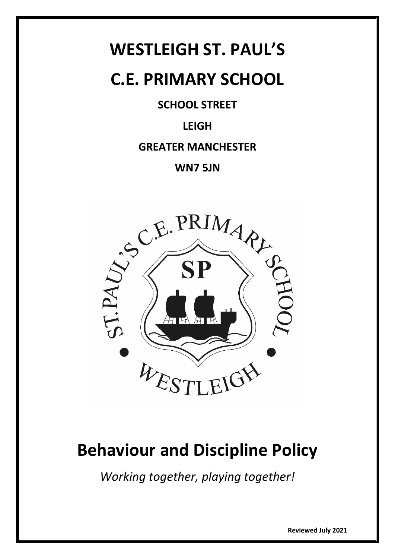# **WESTLEIGH ST. PAUL'S**

# **C.E. PRIMARY SCHOOL**

## **SCHOOL STREET**

# **LEIGH**

## **GREATER MANCHESTER**

## **WN7 5JN**



# **Behaviour and Discipline Policy**

*Working together, playing together!*

**Reviewed July 2021**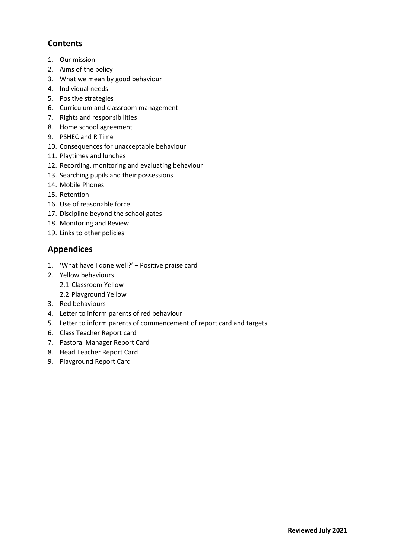## **Contents**

- 1. Our mission
- 2. Aims of the policy
- 3. What we mean by good behaviour
- 4. Individual needs
- 5. Positive strategies
- 6. Curriculum and classroom management
- 7. Rights and responsibilities
- 8. Home school agreement
- 9. PSHEC and R Time
- 10. Consequences for unacceptable behaviour
- 11. Playtimes and lunches
- 12. Recording, monitoring and evaluating behaviour
- 13. Searching pupils and their possessions
- 14. Mobile Phones
- 15. Retention
- 16. Use of reasonable force
- 17. Discipline beyond the school gates
- 18. Monitoring and Review
- 19. Links to other policies

## **Appendices**

- 1. 'What have I done well?' Positive praise card
- 2. Yellow behaviours
	- 2.1 Classroom Yellow
	- 2.2 Playground Yellow
- 3. Red behaviours
- 4. Letter to inform parents of red behaviour
- 5. Letter to inform parents of commencement of report card and targets
- 6. Class Teacher Report card
- 7. Pastoral Manager Report Card
- 8. Head Teacher Report Card
- 9. Playground Report Card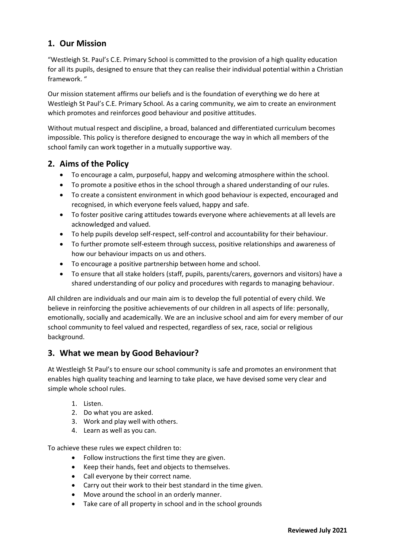## **1. Our Mission**

"Westleigh St. Paul's C.E. Primary School is committed to the provision of a high quality education for all its pupils, designed to ensure that they can realise their individual potential within a Christian framework. "

Our mission statement affirms our beliefs and is the foundation of everything we do here at Westleigh St Paul's C.E. Primary School. As a caring community, we aim to create an environment which promotes and reinforces good behaviour and positive attitudes.

Without mutual respect and discipline, a broad, balanced and differentiated curriculum becomes impossible. This policy is therefore designed to encourage the way in which all members of the school family can work together in a mutually supportive way.

#### **2. Aims of the Policy**

- To encourage a calm, purposeful, happy and welcoming atmosphere within the school.
- To promote a positive ethos in the school through a shared understanding of our rules.
- To create a consistent environment in which good behaviour is expected, encouraged and recognised, in which everyone feels valued, happy and safe.
- To foster positive caring attitudes towards everyone where achievements at all levels are acknowledged and valued.
- To help pupils develop self-respect, self-control and accountability for their behaviour.
- To further promote self-esteem through success, positive relationships and awareness of how our behaviour impacts on us and others.
- To encourage a positive partnership between home and school.
- To ensure that all stake holders (staff, pupils, parents/carers, governors and visitors) have a shared understanding of our policy and procedures with regards to managing behaviour.

All children are individuals and our main aim is to develop the full potential of every child. We believe in reinforcing the positive achievements of our children in all aspects of life: personally, emotionally, socially and academically. We are an inclusive school and aim for every member of our school community to feel valued and respected, regardless of sex, race, social or religious background.

## **3. What we mean by Good Behaviour?**

At Westleigh St Paul's to ensure our school community is safe and promotes an environment that enables high quality teaching and learning to take place, we have devised some very clear and simple whole school rules.

- 1. Listen.
- 2. Do what you are asked.
- 3. Work and play well with others.
- 4. Learn as well as you can.

To achieve these rules we expect children to:

- Follow instructions the first time they are given.
- Keep their hands, feet and objects to themselves.
- Call everyone by their correct name.
- Carry out their work to their best standard in the time given.
- Move around the school in an orderly manner.
- Take care of all property in school and in the school grounds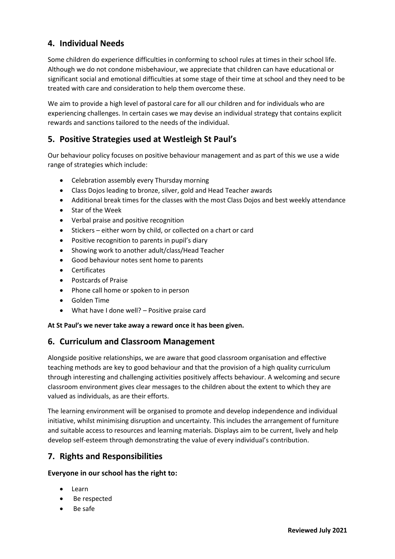### **4. Individual Needs**

Some children do experience difficulties in conforming to school rules at times in their school life. Although we do not condone misbehaviour, we appreciate that children can have educational or significant social and emotional difficulties at some stage of their time at school and they need to be treated with care and consideration to help them overcome these.

We aim to provide a high level of pastoral care for all our children and for individuals who are experiencing challenges. In certain cases we may devise an individual strategy that contains explicit rewards and sanctions tailored to the needs of the individual.

### **5. Positive Strategies used at Westleigh St Paul's**

Our behaviour policy focuses on positive behaviour management and as part of this we use a wide range of strategies which include:

- Celebration assembly every Thursday morning
- Class Dojos leading to bronze, silver, gold and Head Teacher awards
- Additional break times for the classes with the most Class Dojos and best weekly attendance
- Star of the Week
- Verbal praise and positive recognition
- Stickers either worn by child, or collected on a chart or card
- Positive recognition to parents in pupil's diary
- Showing work to another adult/class/Head Teacher
- Good behaviour notes sent home to parents
- Certificates
- Postcards of Praise
- Phone call home or spoken to in person
- Golden Time
- What have I done well? Positive praise card

#### **At St Paul's we never take away a reward once it has been given.**

#### **6. Curriculum and Classroom Management**

Alongside positive relationships, we are aware that good classroom organisation and effective teaching methods are key to good behaviour and that the provision of a high quality curriculum through interesting and challenging activities positively affects behaviour. A welcoming and secure classroom environment gives clear messages to the children about the extent to which they are valued as individuals, as are their efforts.

The learning environment will be organised to promote and develop independence and individual initiative, whilst minimising disruption and uncertainty. This includes the arrangement of furniture and suitable access to resources and learning materials. Displays aim to be current, lively and help develop self-esteem through demonstrating the value of every individual's contribution.

#### **7. Rights and Responsibilities**

#### **Everyone in our school has the right to:**

- Learn
- Be respected
- Be safe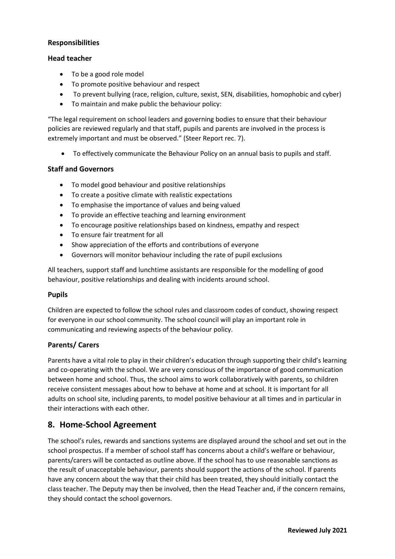#### **Responsibilities**

#### **Head teacher**

- To be a good role model
- To promote positive behaviour and respect
- To prevent bullying (race, religion, culture, sexist, SEN, disabilities, homophobic and cyber)
- To maintain and make public the behaviour policy:

"The legal requirement on school leaders and governing bodies to ensure that their behaviour policies are reviewed regularly and that staff, pupils and parents are involved in the process is extremely important and must be observed." (Steer Report rec. 7).

To effectively communicate the Behaviour Policy on an annual basis to pupils and staff.

#### **Staff and Governors**

- To model good behaviour and positive relationships
- To create a positive climate with realistic expectations
- To emphasise the importance of values and being valued
- To provide an effective teaching and learning environment
- To encourage positive relationships based on kindness, empathy and respect
- To ensure fair treatment for all
- Show appreciation of the efforts and contributions of everyone
- Governors will monitor behaviour including the rate of pupil exclusions

All teachers, support staff and lunchtime assistants are responsible for the modelling of good behaviour, positive relationships and dealing with incidents around school.

#### **Pupils**

Children are expected to follow the school rules and classroom codes of conduct, showing respect for everyone in our school community. The school council will play an important role in communicating and reviewing aspects of the behaviour policy.

#### **Parents/ Carers**

Parents have a vital role to play in their children's education through supporting their child's learning and co-operating with the school. We are very conscious of the importance of good communication between home and school. Thus, the school aims to work collaboratively with parents, so children receive consistent messages about how to behave at home and at school. It is important for all adults on school site, including parents, to model positive behaviour at all times and in particular in their interactions with each other.

#### **8. Home-School Agreement**

The school's rules, rewards and sanctions systems are displayed around the school and set out in the school prospectus. If a member of school staff has concerns about a child's welfare or behaviour, parents/carers will be contacted as outline above. If the school has to use reasonable sanctions as the result of unacceptable behaviour, parents should support the actions of the school. If parents have any concern about the way that their child has been treated, they should initially contact the class teacher. The Deputy may then be involved, then the Head Teacher and, if the concern remains, they should contact the school governors.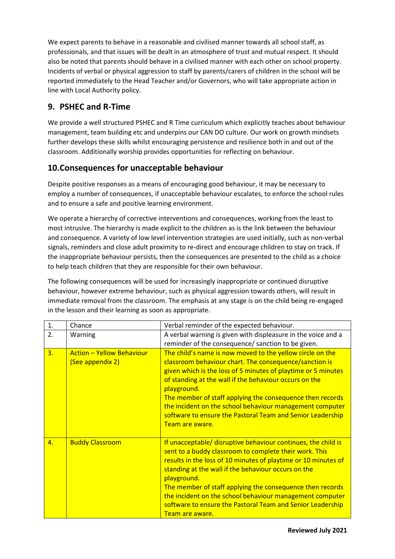We expect parents to behave in a reasonable and civilised manner towards all school staff, as professionals, and that issues will be dealt in an atmosphere of trust and mutual respect. It should also be noted that parents should behave in a civilised manner with each other on school property. Incidents of verbal or physical aggression to staff by parents/carers of children in the school will be reported immediately to the Head Teacher and/or Governors, who will take appropriate action in line with Local Authority policy.

## **9. PSHEC and R-Time**

We provide a well structured PSHEC and R Time curriculum which explicitly teaches about behaviour management, team building etc and underpins our CAN DO culture. Our work on growth mindsets further develops these skills whilst encouraging persistence and resilience both in and out of the classroom. Additionally worship provides opportunities for reflecting on behaviour.

## **10.Consequences for unacceptable behaviour**

Despite positive responses as a means of encouraging good behaviour, it may be necessary to employ a number of consequences, if unacceptable behaviour escalates, to enforce the school rules and to ensure a safe and positive learning environment.

We operate a hierarchy of corrective interventions and consequences, working from the least to most intrusive. The hierarchy is made explicit to the children as is the link between the behaviour and consequence. A variety of low level intervention strategies are used initially, such as non-verbal signals, reminders and close adult proximity to re-direct and encourage children to stay on track. If the inappropriate behaviour persists, then the consequences are presented to the child as a choice to help teach children that they are responsible for their own behaviour.

The following consequences will be used for increasingly inappropriate or continued disruptive behaviour, however extreme behaviour, such as physical aggression towards others, will result in immediate removal from the classroom. The emphasis at any stage is on the child being re-engaged in the lesson and their learning as soon as appropriate.

| 1. | Chance                                               | Verbal reminder of the expected behaviour.                                                                                                                                                                                                                                                                                                                                                                                                                                |
|----|------------------------------------------------------|---------------------------------------------------------------------------------------------------------------------------------------------------------------------------------------------------------------------------------------------------------------------------------------------------------------------------------------------------------------------------------------------------------------------------------------------------------------------------|
| 2. | Warning                                              | A verbal warning is given with displeasure in the voice and a                                                                                                                                                                                                                                                                                                                                                                                                             |
|    |                                                      | reminder of the consequence/ sanction to be given.                                                                                                                                                                                                                                                                                                                                                                                                                        |
| 3. | <b>Action - Yellow Behaviour</b><br>(See appendix 2) | The child's name is now moved to the yellow circle on the<br>classroom behaviour chart. The consequence/sanction is<br>given which is the loss of 5 minutes of playtime or 5 minutes<br>of standing at the wall if the behaviour occurs on the<br>playground.<br>The member of staff applying the consequence then records<br>the incident on the school behaviour management computer<br>software to ensure the Pastoral Team and Senior Leadership<br>Team are aware.   |
| 4. | <b>Buddy Classroom</b>                               | If unacceptable/ disruptive behaviour continues, the child is<br>sent to a buddy classroom to complete their work. This<br>results in the loss of 10 minutes of playtime or 10 minutes of<br>standing at the wall if the behaviour occurs on the<br>playground.<br>The member of staff applying the consequence then records<br>the incident on the school behaviour management computer<br>software to ensure the Pastoral Team and Senior Leadership<br>Team are aware. |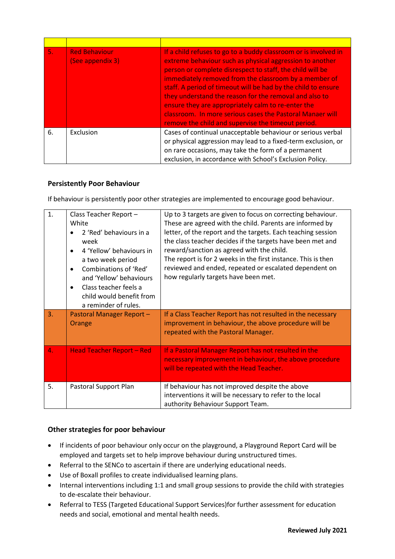| 5. | <b>Red Behaviour</b><br>(See appendix 3) | If a child refuses to go to a buddy classroom or is involved in<br>extreme behaviour such as physical aggression to another<br>person or complete disrespect to staff, the child will be<br>immediately removed from the classroom by a member of<br>staff. A period of timeout will be had by the child to ensure<br>they understand the reason for the removal and also to<br>ensure they are appropriately calm to re-enter the<br>classroom. In more serious cases the Pastoral Manaer will<br>remove the child and supervise the timeout period. |
|----|------------------------------------------|-------------------------------------------------------------------------------------------------------------------------------------------------------------------------------------------------------------------------------------------------------------------------------------------------------------------------------------------------------------------------------------------------------------------------------------------------------------------------------------------------------------------------------------------------------|
| 6. | Exclusion                                | Cases of continual unacceptable behaviour or serious verbal<br>or physical aggression may lead to a fixed-term exclusion, or<br>on rare occasions, may take the form of a permanent<br>exclusion, in accordance with School's Exclusion Policy.                                                                                                                                                                                                                                                                                                       |

#### **Persistently Poor Behaviour**

If behaviour is persistently poor other strategies are implemented to encourage good behaviour.

| 1. | Class Teacher Report -<br>White<br>2 'Red' behaviours in a<br>week<br>4 'Yellow' behaviours in<br>a two week period<br>Combinations of 'Red'<br>and 'Yellow' behaviours<br>Class teacher feels a<br>$\bullet$<br>child would benefit from<br>a reminder of rules. | Up to 3 targets are given to focus on correcting behaviour.<br>These are agreed with the child. Parents are informed by<br>letter, of the report and the targets. Each teaching session<br>the class teacher decides if the targets have been met and<br>reward/sanction as agreed with the child.<br>The report is for 2 weeks in the first instance. This is then<br>reviewed and ended, repeated or escalated dependent on<br>how regularly targets have been met. |
|----|-------------------------------------------------------------------------------------------------------------------------------------------------------------------------------------------------------------------------------------------------------------------|-----------------------------------------------------------------------------------------------------------------------------------------------------------------------------------------------------------------------------------------------------------------------------------------------------------------------------------------------------------------------------------------------------------------------------------------------------------------------|
| 3. | Pastoral Manager Report -<br>Orange                                                                                                                                                                                                                               | If a Class Teacher Report has not resulted in the necessary<br>improvement in behaviour, the above procedure will be<br>repeated with the Pastoral Manager.                                                                                                                                                                                                                                                                                                           |
| 4. | <b>Head Teacher Report - Red</b>                                                                                                                                                                                                                                  | If a Pastoral Manager Report has not resulted in the<br>necessary improvement in behaviour, the above procedure<br>will be repeated with the Head Teacher.                                                                                                                                                                                                                                                                                                            |
| 5. | Pastoral Support Plan                                                                                                                                                                                                                                             | If behaviour has not improved despite the above<br>interventions it will be necessary to refer to the local<br>authority Behaviour Support Team.                                                                                                                                                                                                                                                                                                                      |

#### **Other strategies for poor behaviour**

- If incidents of poor behaviour only occur on the playground, a Playground Report Card will be employed and targets set to help improve behaviour during unstructured times.
- Referral to the SENCo to ascertain if there are underlying educational needs.
- Use of Boxall profiles to create individualised learning plans.
- Internal interventions including 1:1 and small group sessions to provide the child with strategies to de-escalate their behaviour.
- Referral to TESS (Targeted Educational Support Services)for further assessment for education needs and social, emotional and mental health needs.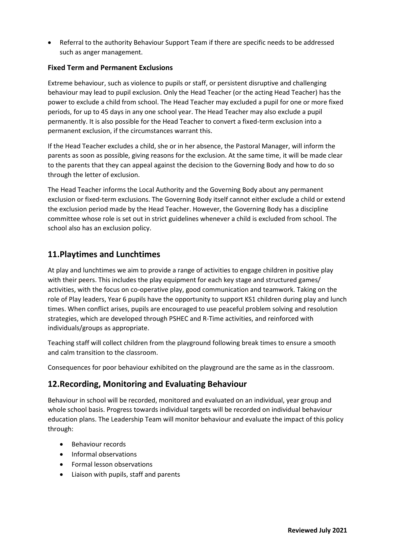Referral to the authority Behaviour Support Team if there are specific needs to be addressed such as anger management.

#### **Fixed Term and Permanent Exclusions**

Extreme behaviour, such as violence to pupils or staff, or persistent disruptive and challenging behaviour may lead to pupil exclusion. Only the Head Teacher (or the acting Head Teacher) has the power to exclude a child from school. The Head Teacher may excluded a pupil for one or more fixed periods, for up to 45 days in any one school year. The Head Teacher may also exclude a pupil permanently. It is also possible for the Head Teacher to convert a fixed-term exclusion into a permanent exclusion, if the circumstances warrant this.

If the Head Teacher excludes a child, she or in her absence, the Pastoral Manager, will inform the parents as soon as possible, giving reasons for the exclusion. At the same time, it will be made clear to the parents that they can appeal against the decision to the Governing Body and how to do so through the letter of exclusion.

The Head Teacher informs the Local Authority and the Governing Body about any permanent exclusion or fixed-term exclusions. The Governing Body itself cannot either exclude a child or extend the exclusion period made by the Head Teacher. However, the Governing Body has a discipline committee whose role is set out in strict guidelines whenever a child is excluded from school. The school also has an exclusion policy.

#### **11.Playtimes and Lunchtimes**

At play and lunchtimes we aim to provide a range of activities to engage children in positive play with their peers. This includes the play equipment for each key stage and structured games/ activities, with the focus on co-operative play, good communication and teamwork. Taking on the role of Play leaders, Year 6 pupils have the opportunity to support KS1 children during play and lunch times. When conflict arises, pupils are encouraged to use peaceful problem solving and resolution strategies, which are developed through PSHEC and R-Time activities, and reinforced with individuals/groups as appropriate.

Teaching staff will collect children from the playground following break times to ensure a smooth and calm transition to the classroom.

Consequences for poor behaviour exhibited on the playground are the same as in the classroom.

#### **12.Recording, Monitoring and Evaluating Behaviour**

Behaviour in school will be recorded, monitored and evaluated on an individual, year group and whole school basis. Progress towards individual targets will be recorded on individual behaviour education plans. The Leadership Team will monitor behaviour and evaluate the impact of this policy through:

- Behaviour records
- Informal observations
- Formal lesson observations
- Liaison with pupils, staff and parents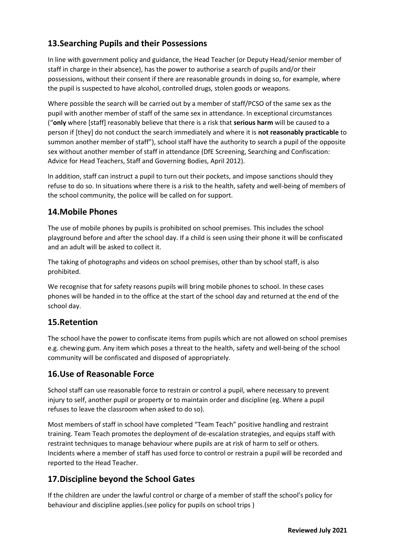## **13.Searching Pupils and their Possessions**

In line with government policy and guidance, the Head Teacher (or Deputy Head/senior member of staff in charge in their absence), has the power to authorise a search of pupils and/or their possessions, without their consent if there are reasonable grounds in doing so, for example, where the pupil is suspected to have alcohol, controlled drugs, stolen goods or weapons.

Where possible the search will be carried out by a member of staff/PCSO of the same sex as the pupil with another member of staff of the same sex in attendance. In exceptional circumstances ("**only** where [staff] reasonably believe that there is a risk that **serious harm** will be caused to a person if [they] do not conduct the search immediately and where it is **not reasonably practicable** to summon another member of staff"), school staff have the authority to search a pupil of the opposite sex without another member of staff in attendance (DfE Screening, Searching and Confiscation: Advice for Head Teachers, Staff and Governing Bodies, April 2012).

In addition, staff can instruct a pupil to turn out their pockets, and impose sanctions should they refuse to do so. In situations where there is a risk to the health, safety and well-being of members of the school community, the police will be called on for support.

#### **14.Mobile Phones**

The use of mobile phones by pupils is prohibited on school premises. This includes the school playground before and after the school day. If a child is seen using their phone it will be confiscated and an adult will be asked to collect it.

The taking of photographs and videos on school premises, other than by school staff, is also prohibited.

We recognise that for safety reasons pupils will bring mobile phones to school. In these cases phones will be handed in to the office at the start of the school day and returned at the end of the school day.

#### **15.Retention**

The school have the power to confiscate items from pupils which are not allowed on school premises e.g. chewing gum. Any item which poses a threat to the health, safety and well-being of the school community will be confiscated and disposed of appropriately.

#### **16.Use of Reasonable Force**

School staff can use reasonable force to restrain or control a pupil, where necessary to prevent injury to self, another pupil or property or to maintain order and discipline (eg. Where a pupil refuses to leave the classroom when asked to do so).

Most members of staff in school have completed "Team Teach" positive handling and restraint training. Team Teach promotes the deployment of de-escalation strategies, and equips staff with restraint techniques to manage behaviour where pupils are at risk of harm to self or others. Incidents where a member of staff has used force to control or restrain a pupil will be recorded and reported to the Head Teacher.

## **17.Discipline beyond the School Gates**

If the children are under the lawful control or charge of a member of staff the school's policy for behaviour and discipline applies.(see policy for pupils on school trips )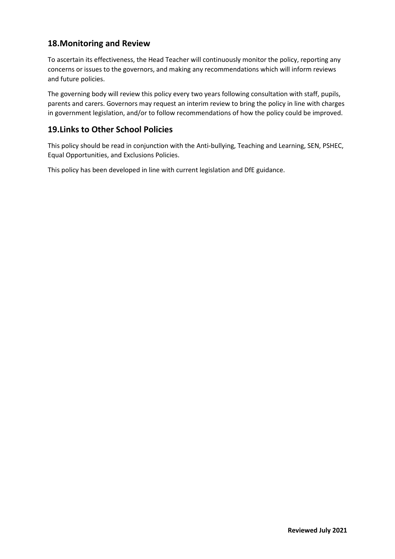## **18.Monitoring and Review**

To ascertain its effectiveness, the Head Teacher will continuously monitor the policy, reporting any concerns or issues to the governors, and making any recommendations which will inform reviews and future policies.

The governing body will review this policy every two years following consultation with staff, pupils, parents and carers. Governors may request an interim review to bring the policy in line with charges in government legislation, and/or to follow recommendations of how the policy could be improved.

## **19.Links to Other School Policies**

This policy should be read in conjunction with the Anti-bullying, Teaching and Learning, SEN, PSHEC, Equal Opportunities, and Exclusions Policies.

This policy has been developed in line with current legislation and DfE guidance.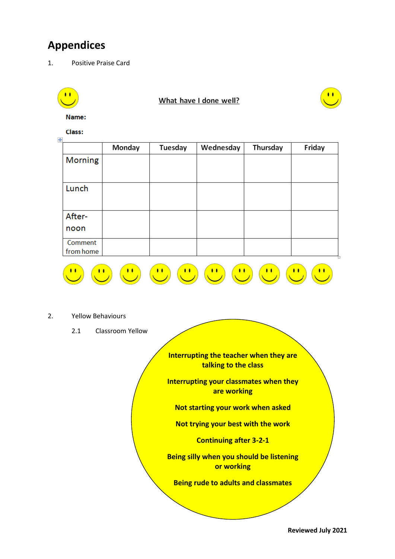# **Appendices**

1. Positive Praise Card

|                          |                  |                                         | What have I done well?                                         |              |        |
|--------------------------|------------------|-----------------------------------------|----------------------------------------------------------------|--------------|--------|
| Name:                    |                  |                                         |                                                                |              |        |
| Class:                   |                  |                                         |                                                                |              |        |
|                          | Monday           | Tuesday                                 | Wednesday                                                      | Thursday     | Friday |
| <b>Morning</b>           |                  |                                         |                                                                |              |        |
| Lunch                    |                  |                                         |                                                                |              |        |
| After-                   |                  |                                         |                                                                |              |        |
| noon                     |                  |                                         |                                                                |              |        |
| Comment<br>from home     |                  |                                         |                                                                |              |        |
| <b>Yellow Behaviours</b> | $\mathbf{a}$     | $\mathbf{u}$<br>$\mathcal{C}^{\bullet}$ | $\mathbf{C}$<br>$\mathbf{u}$                                   | $\mathbf{a}$ |        |
|                          |                  |                                         |                                                                |              |        |
| 2.1                      | Classroom Yellow |                                         |                                                                |              |        |
|                          |                  |                                         | Interrupting the teacher when they are<br>talking to the class |              |        |
|                          |                  |                                         | <b>Interrupting your classmates when they</b><br>are working   |              |        |
|                          |                  |                                         | Not starting your work when asked                              |              |        |
|                          |                  | Not trying your best with the work      |                                                                |              |        |

**Continuing after 3-2-1**

**Being silly when you should be listening or working**

**Being rude to adults and classmates**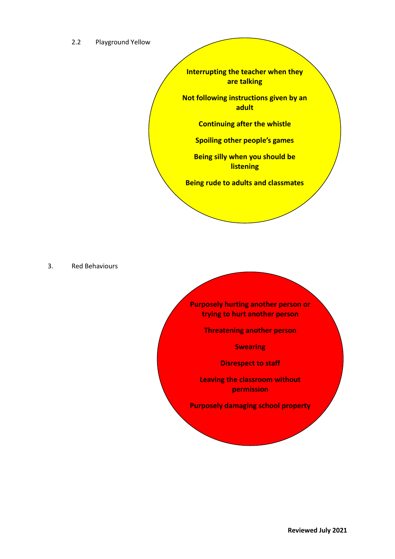#### 2.2 Playground Yellow

**Interrupting the teacher when they are talking**

**Not following instructions given by an adult**

**Continuing after the whistle**

**Spoiling other people's games**

**Being silly when you should be listening**

**Being rude to adults and classmates**

3. Red Behaviours

**Purposely hurting another person or trying to hurt another person**

**Threatening another person**

**Swearing**

**Disrespect to staff**

**Leaving the classroom without permission**

**Purposely damaging school property**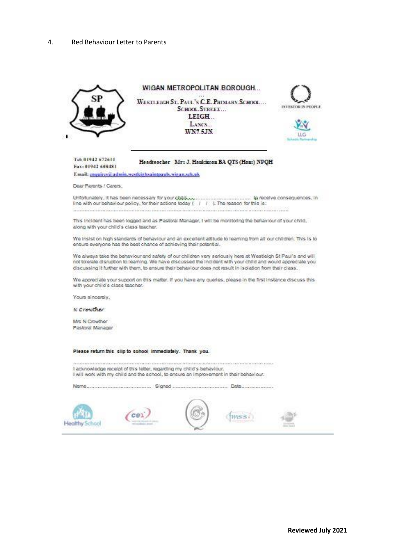#### 4. Red Behaviour Letter to Parents



Fax: 01942 608481

## Headteacher Mrs J. Haukinson BA QTS (Hous) NPQH

Email: enquires@admin.westleighsaintpauls.wigan.sch.uk

Dear Parents / Carers,

line with our behaviour policy, for their actions today  $(-/-/-)$ . The reason for this is: 2010/08/2020 12:00:00 00:00:00 00:00:00:00:00:00:00:00

This incident has been logged and as Pastoral Manager, I will be monitoring the behaviour of your child. along with your child's class teacher.

We insist on high standards of behaviour and an excellent attitude to learning from all our children. This is to ensure everyone has the best chance of achieving their potential.

We always take the behaviour and safety of our children very seriously here at Westleigh St Paul's and will not tolerate disruption to learning. We have discussed the incident with your child and would appreciate you discussing it further with them, to ensure their behaviour does not result in isolation from their class.

We appreciate your support on this matter. If you have any queries, please in the first instance discuss this with your child's class teacher.

Yours sincerely.

N Crowther

Mrs N Crowther Pastoral Manager

Please return this slip to school immediately. Thank you.

I acknowledge receipt of this letter, regarding my child's behaviour. I will work with my child and the school, to ensure an improvement in their behaviour.

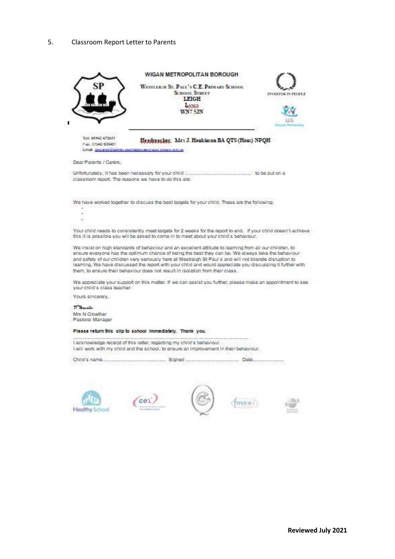#### 5. Classroom Report Letter to Parents

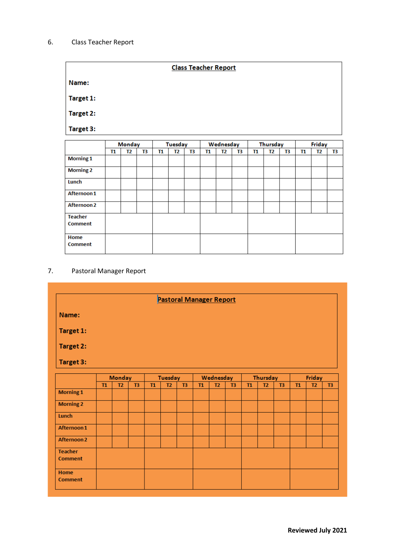#### 6. Class Teacher Report

|           | <b>Class Teacher Report</b> |  |
|-----------|-----------------------------|--|
| Name:     |                             |  |
| Target 1: |                             |  |
| Target 2: |                             |  |
| Target 3: |                             |  |
|           |                             |  |

|                  | Monday |    |    | Tuesday |    |    | Wednesday |                |    | Thursday |    |    | Friday |    |    |
|------------------|--------|----|----|---------|----|----|-----------|----------------|----|----------|----|----|--------|----|----|
|                  | T1     | Т2 | T3 | T1      | T2 | T3 | T1        | T <sub>2</sub> | Т3 | Т1       | T2 | T3 | T1     | T2 | Т3 |
| <b>Morning 1</b> |        |    |    |         |    |    |           |                |    |          |    |    |        |    |    |
| <b>Morning 2</b> |        |    |    |         |    |    |           |                |    |          |    |    |        |    |    |
| Lunch            |        |    |    |         |    |    |           |                |    |          |    |    |        |    |    |
| Afternoon 1      |        |    |    |         |    |    |           |                |    |          |    |    |        |    |    |
| Afternoon 2      |        |    |    |         |    |    |           |                |    |          |    |    |        |    |    |
| <b>Teacher</b>   |        |    |    |         |    |    |           |                |    |          |    |    |        |    |    |
| <b>Comment</b>   |        |    |    |         |    |    |           |                |    |          |    |    |        |    |    |
| Home             |        |    |    |         |    |    |           |                |    |          |    |    |        |    |    |
| <b>Comment</b>   |        |    |    |         |    |    |           |                |    |          |    |    |        |    |    |

#### 7. Pastoral Manager Report

|                                             |  |    |                      |                | <b>Pastoral Manager Report</b> |    |                |    |    |                |          |        |    |  |
|---------------------------------------------|--|----|----------------------|----------------|--------------------------------|----|----------------|----|----|----------------|----------|--------|----|--|
| Name:                                       |  |    |                      |                |                                |    |                |    |    |                |          |        |    |  |
| Target 1:                                   |  |    |                      |                |                                |    |                |    |    |                |          |        |    |  |
| Target 2:                                   |  |    |                      |                |                                |    |                |    |    |                |          |        |    |  |
| Target 3:                                   |  |    |                      |                |                                |    |                |    |    |                |          |        |    |  |
|                                             |  |    | Tuesday<br>Wednesday |                |                                |    |                |    |    | Thursday       |          | Friday |    |  |
| <b>Monday</b><br>T2<br>T1<br>T <sub>3</sub> |  | T1 | T2                   | T <sub>3</sub> | T1                             | T2 | T <sub>3</sub> | T1 | T2 | T <sub>3</sub> | T1<br>T2 |        | T3 |  |
| <b>Morning 1</b>                            |  |    |                      |                |                                |    |                |    |    |                |          |        |    |  |
| <b>Morning 2</b>                            |  |    |                      |                |                                |    |                |    |    |                |          |        |    |  |
| Lunch                                       |  |    |                      |                |                                |    |                |    |    |                |          |        |    |  |
| Afternoon 1                                 |  |    |                      |                |                                |    |                |    |    |                |          |        |    |  |
| Afternoon 2                                 |  |    |                      |                |                                |    |                |    |    |                |          |        |    |  |
| <b>Teacher</b><br><b>Comment</b>            |  |    |                      |                |                                |    |                |    |    |                |          |        |    |  |
| Home                                        |  |    |                      |                |                                |    |                |    |    |                |          |        |    |  |